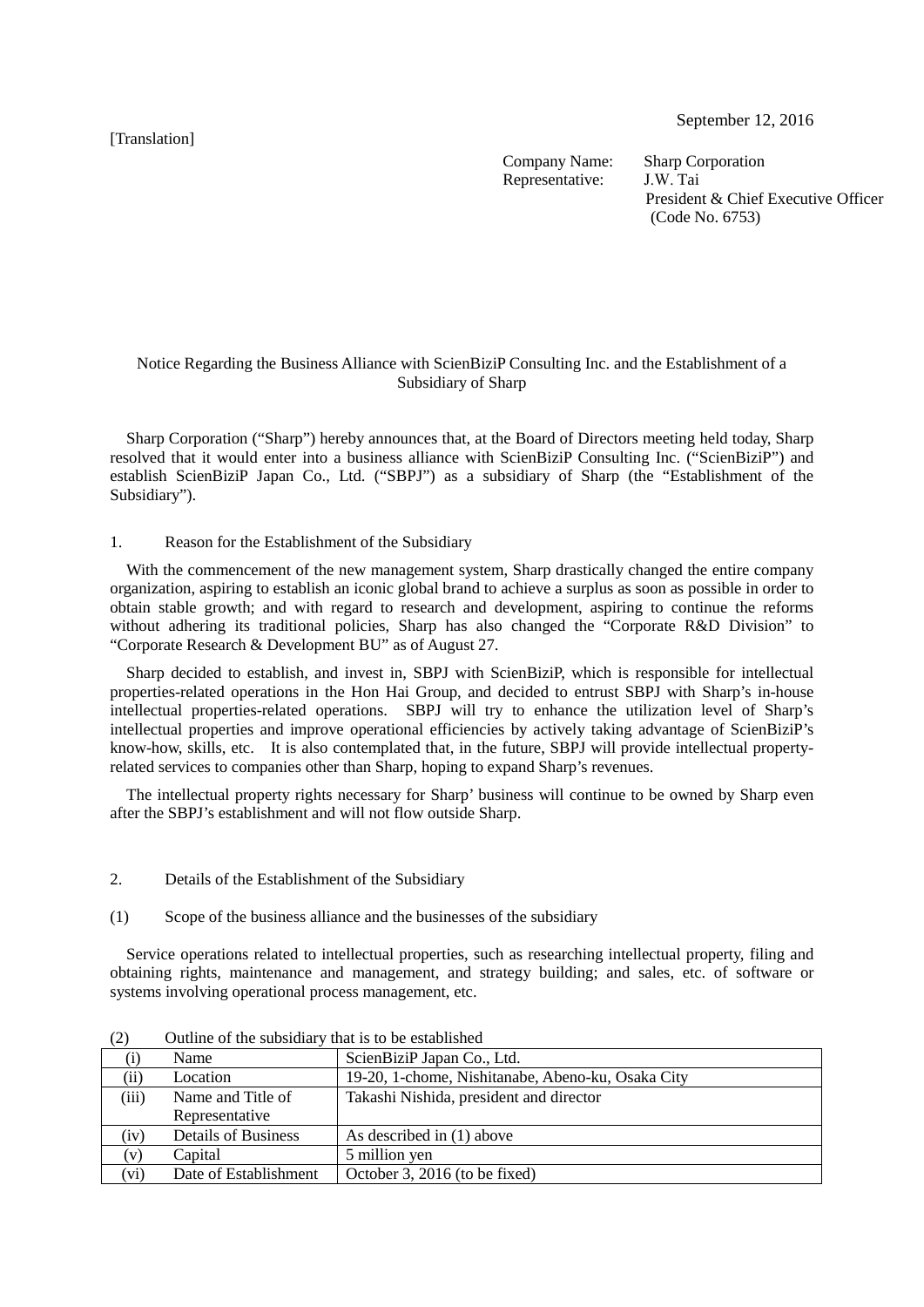[Translation]

September 12, 2016

Company Name: Sharp Corporation<br>Representative: JW Tai Representative:

President & Chief Executive Officer (Code No. 6753)

## Notice Regarding the Business Alliance with ScienBiziP Consulting Inc. and the Establishment of a Subsidiary of Sharp

Sharp Corporation ("Sharp") hereby announces that, at the Board of Directors meeting held today, Sharp resolved that it would enter into a business alliance with ScienBiziP Consulting Inc. ("ScienBiziP") and establish ScienBiziP Japan Co., Ltd. ("SBPJ") as a subsidiary of Sharp (the "Establishment of the Subsidiary").

## 1. Reason for the Establishment of the Subsidiary

With the commencement of the new management system. Sharp drastically changed the entire company organization, aspiring to establish an iconic global brand to achieve a surplus as soon as possible in order to obtain stable growth; and with regard to research and development, aspiring to continue the reforms without adhering its traditional policies, Sharp has also changed the "Corporate R&D Division" to "Corporate Research & Development BU" as of August 27.

Sharp decided to establish, and invest in, SBPJ with ScienBiziP, which is responsible for intellectual properties-related operations in the Hon Hai Group, and decided to entrust SBPJ with Sharp's in-house intellectual properties-related operations. SBPJ will try to enhance the utilization level of Sharp's intellectual properties and improve operational efficiencies by actively taking advantage of ScienBiziP's know-how, skills, etc. It is also contemplated that, in the future, SBPJ will provide intellectual propertyrelated services to companies other than Sharp, hoping to expand Sharp's revenues.

The intellectual property rights necessary for Sharp' business will continue to be owned by Sharp even after the SBPJ's establishment and will not flow outside Sharp.

- 2. Details of the Establishment of the Subsidiary
- (1) Scope of the business alliance and the businesses of the subsidiary

Service operations related to intellectual properties, such as researching intellectual property, filing and obtaining rights, maintenance and management, and strategy building; and sales, etc. of software or systems involving operational process management, etc.

|                      | Name                       | ScienBiziP Japan Co., Ltd.                        |  |
|----------------------|----------------------------|---------------------------------------------------|--|
| $\overline{\rm(ii)}$ | Location                   | 19-20, 1-chome, Nishitanabe, Abeno-ku, Osaka City |  |
| (iii)                | Name and Title of          | Takashi Nishida, president and director           |  |
|                      | Representative             |                                                   |  |
| (iv)                 | <b>Details of Business</b> | As described in (1) above                         |  |
| $\mathbf{v}$         | Capital                    | 5 million yen                                     |  |
| (vi)                 | Date of Establishment      | October 3, 2016 (to be fixed)                     |  |

(2) Outline of the subsidiary that is to be established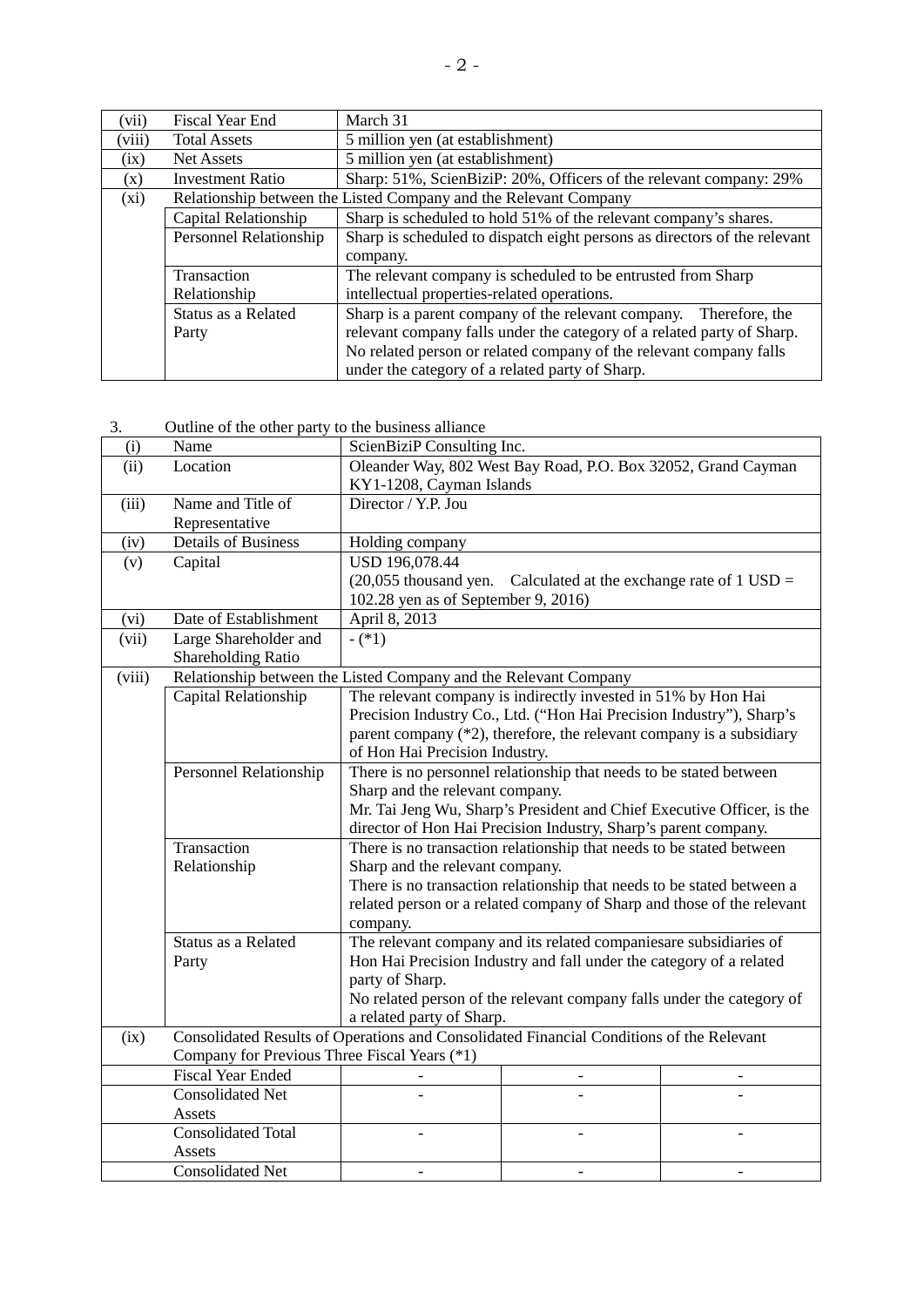| (vii)                                                       | Fiscal Year End                                                                          | March 31                                                                  |  |  |
|-------------------------------------------------------------|------------------------------------------------------------------------------------------|---------------------------------------------------------------------------|--|--|
| (viii)                                                      | <b>Total Assets</b>                                                                      | 5 million yen (at establishment)                                          |  |  |
| (ix)                                                        | <b>Net Assets</b>                                                                        | 5 million yen (at establishment)                                          |  |  |
| (x)                                                         | <b>Investment Ratio</b>                                                                  | Sharp: 51%, ScienBiziP: 20%, Officers of the relevant company: 29%        |  |  |
| (xi)                                                        |                                                                                          | Relationship between the Listed Company and the Relevant Company          |  |  |
|                                                             | Sharp is scheduled to hold 51% of the relevant company's shares.<br>Capital Relationship |                                                                           |  |  |
|                                                             | Personnel Relationship                                                                   | Sharp is scheduled to dispatch eight persons as directors of the relevant |  |  |
|                                                             |                                                                                          | company.                                                                  |  |  |
|                                                             | Transaction                                                                              | The relevant company is scheduled to be entrusted from Sharp              |  |  |
| intellectual properties-related operations.<br>Relationship |                                                                                          |                                                                           |  |  |
| Status as a Related                                         |                                                                                          | Sharp is a parent company of the relevant company.<br>Therefore, the      |  |  |
|                                                             | Party                                                                                    | relevant company falls under the category of a related party of Sharp.    |  |  |
|                                                             |                                                                                          | No related person or related company of the relevant company falls        |  |  |
|                                                             |                                                                                          | under the category of a related party of Sharp.                           |  |  |

3. Outline of the other party to the business alliance

| (i)    | Name                                                                                     | ScienBiziP Consulting Inc.                                              |                                                                      |  |  |  |
|--------|------------------------------------------------------------------------------------------|-------------------------------------------------------------------------|----------------------------------------------------------------------|--|--|--|
| (ii)   | Location                                                                                 | Oleander Way, 802 West Bay Road, P.O. Box 32052, Grand Cayman           |                                                                      |  |  |  |
|        |                                                                                          | KY1-1208, Cayman Islands                                                |                                                                      |  |  |  |
| (iii)  | Name and Title of                                                                        | Director / Y.P. Jou                                                     |                                                                      |  |  |  |
|        | Representative                                                                           |                                                                         |                                                                      |  |  |  |
| (iv)   | <b>Details of Business</b>                                                               | Holding company                                                         |                                                                      |  |  |  |
| (v)    | Capital                                                                                  | USD 196,078.44                                                          |                                                                      |  |  |  |
|        |                                                                                          | $(20,055)$ thousand yen. Calculated at the exchange rate of 1 USD =     |                                                                      |  |  |  |
|        |                                                                                          | 102.28 yen as of September 9, 2016)                                     |                                                                      |  |  |  |
| (vi)   | Date of Establishment                                                                    | April 8, 2013                                                           |                                                                      |  |  |  |
| (vii)  | Large Shareholder and                                                                    | $-(*1)$                                                                 |                                                                      |  |  |  |
|        | Shareholding Ratio                                                                       |                                                                         |                                                                      |  |  |  |
| (viii) |                                                                                          | Relationship between the Listed Company and the Relevant Company        |                                                                      |  |  |  |
|        | Capital Relationship                                                                     |                                                                         | The relevant company is indirectly invested in 51% by Hon Hai        |  |  |  |
|        |                                                                                          |                                                                         | Precision Industry Co., Ltd. ("Hon Hai Precision Industry"), Sharp's |  |  |  |
|        |                                                                                          | parent company $(*2)$ , therefore, the relevant company is a subsidiary |                                                                      |  |  |  |
|        |                                                                                          | of Hon Hai Precision Industry.                                          |                                                                      |  |  |  |
|        | Personnel Relationship                                                                   |                                                                         | There is no personnel relationship that needs to be stated between   |  |  |  |
|        |                                                                                          | Sharp and the relevant company.                                         |                                                                      |  |  |  |
|        |                                                                                          | Mr. Tai Jeng Wu, Sharp's President and Chief Executive Officer, is the  |                                                                      |  |  |  |
|        |                                                                                          | director of Hon Hai Precision Industry, Sharp's parent company.         |                                                                      |  |  |  |
|        | Transaction                                                                              | There is no transaction relationship that needs to be stated between    |                                                                      |  |  |  |
|        | Relationship                                                                             | Sharp and the relevant company.                                         |                                                                      |  |  |  |
|        |                                                                                          | There is no transaction relationship that needs to be stated between a  |                                                                      |  |  |  |
|        |                                                                                          | related person or a related company of Sharp and those of the relevant  |                                                                      |  |  |  |
|        |                                                                                          | company.                                                                |                                                                      |  |  |  |
|        | Status as a Related                                                                      | The relevant company and its related companiesare subsidiaries of       |                                                                      |  |  |  |
|        | Party                                                                                    | Hon Hai Precision Industry and fall under the category of a related     |                                                                      |  |  |  |
|        |                                                                                          | party of Sharp.                                                         |                                                                      |  |  |  |
|        |                                                                                          | No related person of the relevant company falls under the category of   |                                                                      |  |  |  |
|        |                                                                                          | a related party of Sharp.                                               |                                                                      |  |  |  |
| (ix)   | Consolidated Results of Operations and Consolidated Financial Conditions of the Relevant |                                                                         |                                                                      |  |  |  |
|        | Company for Previous Three Fiscal Years (*1)                                             |                                                                         |                                                                      |  |  |  |
|        | <b>Fiscal Year Ended</b>                                                                 |                                                                         |                                                                      |  |  |  |
|        | <b>Consolidated Net</b>                                                                  |                                                                         |                                                                      |  |  |  |
|        | Assets                                                                                   |                                                                         |                                                                      |  |  |  |
|        | <b>Consolidated Total</b>                                                                |                                                                         |                                                                      |  |  |  |
|        | Assets                                                                                   |                                                                         |                                                                      |  |  |  |
|        | <b>Consolidated Net</b>                                                                  |                                                                         |                                                                      |  |  |  |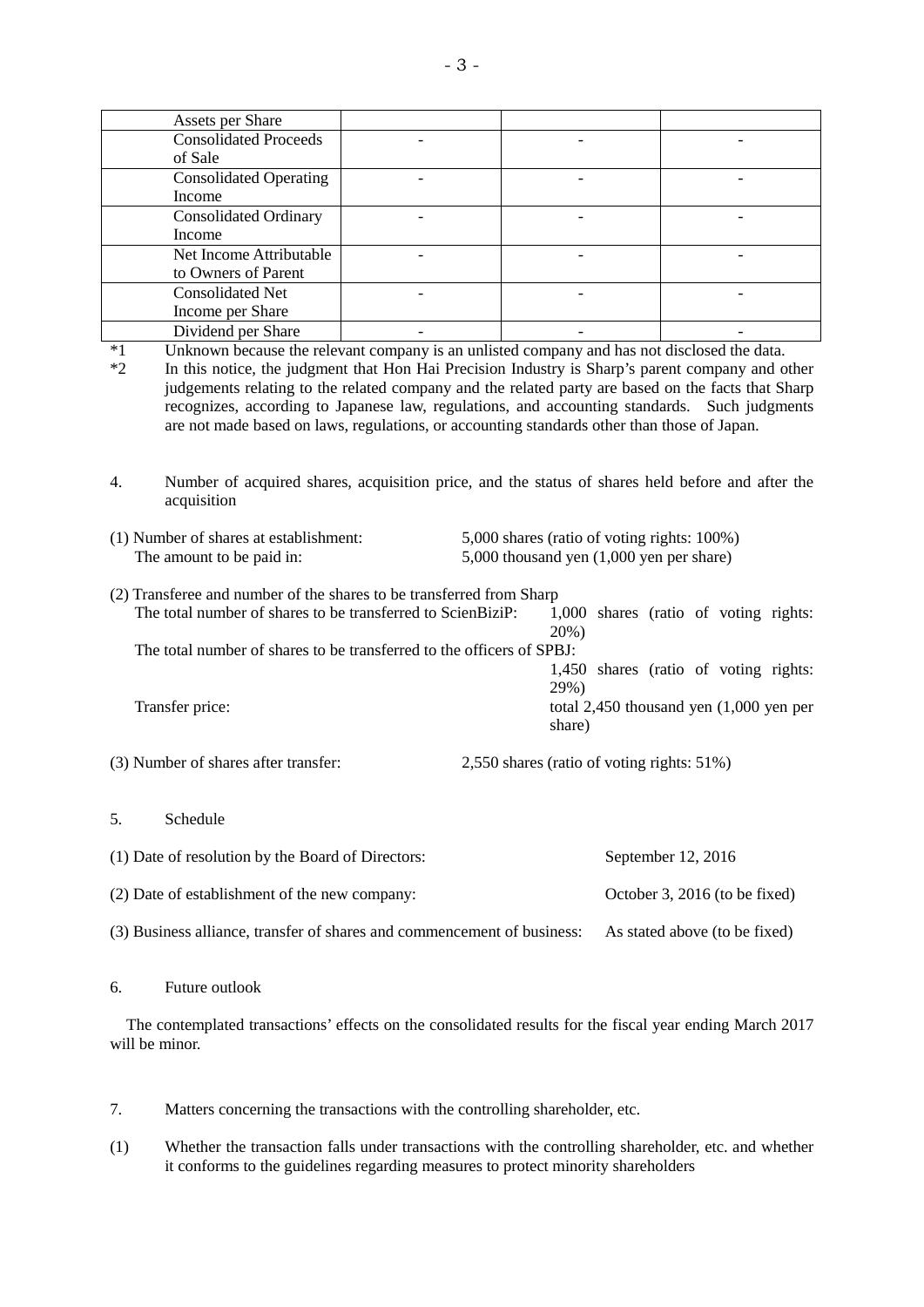|                                                                         | <b>Assets per Share</b>                                                                     |                          |                                          |                                                                                                    |  |  |  |
|-------------------------------------------------------------------------|---------------------------------------------------------------------------------------------|--------------------------|------------------------------------------|----------------------------------------------------------------------------------------------------|--|--|--|
|                                                                         | <b>Consolidated Proceeds</b>                                                                |                          |                                          |                                                                                                    |  |  |  |
|                                                                         | of Sale                                                                                     |                          |                                          |                                                                                                    |  |  |  |
|                                                                         | <b>Consolidated Operating</b>                                                               |                          |                                          |                                                                                                    |  |  |  |
|                                                                         | Income                                                                                      |                          |                                          |                                                                                                    |  |  |  |
|                                                                         | <b>Consolidated Ordinary</b>                                                                | $\overline{\phantom{0}}$ |                                          | $\overline{a}$                                                                                     |  |  |  |
|                                                                         | Income                                                                                      |                          |                                          |                                                                                                    |  |  |  |
|                                                                         | Net Income Attributable                                                                     | $\overline{a}$           |                                          |                                                                                                    |  |  |  |
|                                                                         | to Owners of Parent                                                                         |                          |                                          |                                                                                                    |  |  |  |
|                                                                         | <b>Consolidated Net</b>                                                                     |                          |                                          |                                                                                                    |  |  |  |
|                                                                         | Income per Share                                                                            |                          |                                          |                                                                                                    |  |  |  |
|                                                                         | Dividend per Share                                                                          |                          |                                          |                                                                                                    |  |  |  |
| $*1$                                                                    |                                                                                             |                          |                                          | Unknown because the relevant company is an unlisted company and has not disclosed the data.        |  |  |  |
| $*2$                                                                    |                                                                                             |                          |                                          | In this notice, the judgment that Hon Hai Precision Industry is Sharp's parent company and other   |  |  |  |
|                                                                         |                                                                                             |                          |                                          | judgements relating to the related company and the related party are based on the facts that Sharp |  |  |  |
|                                                                         |                                                                                             |                          |                                          | recognizes, according to Japanese law, regulations, and accounting standards. Such judgments       |  |  |  |
|                                                                         | are not made based on laws, regulations, or accounting standards other than those of Japan. |                          |                                          |                                                                                                    |  |  |  |
|                                                                         |                                                                                             |                          |                                          |                                                                                                    |  |  |  |
|                                                                         |                                                                                             |                          |                                          |                                                                                                    |  |  |  |
| 4.                                                                      |                                                                                             |                          |                                          | Number of acquired shares, acquisition price, and the status of shares held before and after the   |  |  |  |
|                                                                         | acquisition                                                                                 |                          |                                          |                                                                                                    |  |  |  |
|                                                                         |                                                                                             |                          |                                          |                                                                                                    |  |  |  |
|                                                                         | (1) Number of shares at establishment:                                                      |                          |                                          | 5,000 shares (ratio of voting rights: 100%)                                                        |  |  |  |
|                                                                         | The amount to be paid in:                                                                   |                          | 5,000 thousand yen (1,000 yen per share) |                                                                                                    |  |  |  |
|                                                                         |                                                                                             |                          |                                          |                                                                                                    |  |  |  |
|                                                                         | (2) Transferee and number of the shares to be transferred from Sharp                        |                          |                                          |                                                                                                    |  |  |  |
|                                                                         | The total number of shares to be transferred to ScienBiziP:                                 |                          |                                          | 1,000 shares (ratio of voting rights:                                                              |  |  |  |
|                                                                         |                                                                                             |                          | 20%)                                     |                                                                                                    |  |  |  |
|                                                                         | The total number of shares to be transferred to the officers of SPBJ:                       |                          |                                          |                                                                                                    |  |  |  |
|                                                                         |                                                                                             |                          |                                          | 1,450 shares (ratio of voting rights:                                                              |  |  |  |
|                                                                         |                                                                                             |                          | 29%)                                     |                                                                                                    |  |  |  |
| Transfer price:                                                         |                                                                                             |                          |                                          | total $2,450$ thousand yen $(1,000)$ yen per                                                       |  |  |  |
|                                                                         |                                                                                             |                          | share)                                   |                                                                                                    |  |  |  |
|                                                                         |                                                                                             |                          |                                          |                                                                                                    |  |  |  |
|                                                                         | (3) Number of shares after transfer:                                                        |                          |                                          | 2,550 shares (ratio of voting rights: 51%)                                                         |  |  |  |
|                                                                         |                                                                                             |                          |                                          |                                                                                                    |  |  |  |
|                                                                         |                                                                                             |                          |                                          |                                                                                                    |  |  |  |
| 5.                                                                      | Schedule                                                                                    |                          |                                          |                                                                                                    |  |  |  |
|                                                                         |                                                                                             |                          |                                          |                                                                                                    |  |  |  |
| (1) Date of resolution by the Board of Directors:                       |                                                                                             |                          |                                          | September 12, 2016                                                                                 |  |  |  |
|                                                                         |                                                                                             |                          |                                          |                                                                                                    |  |  |  |
| (2) Date of establishment of the new company:                           |                                                                                             |                          |                                          | October 3, 2016 (to be fixed)                                                                      |  |  |  |
|                                                                         |                                                                                             |                          |                                          |                                                                                                    |  |  |  |
| (3) Business alliance, transfer of shares and commencement of business: |                                                                                             |                          |                                          | As stated above (to be fixed)                                                                      |  |  |  |
|                                                                         |                                                                                             |                          |                                          |                                                                                                    |  |  |  |

6. Future outlook

The contemplated transactions' effects on the consolidated results for the fiscal year ending March 2017 will be minor.

7. Matters concerning the transactions with the controlling shareholder, etc.

(1) Whether the transaction falls under transactions with the controlling shareholder, etc. and whether it conforms to the guidelines regarding measures to protect minority shareholders